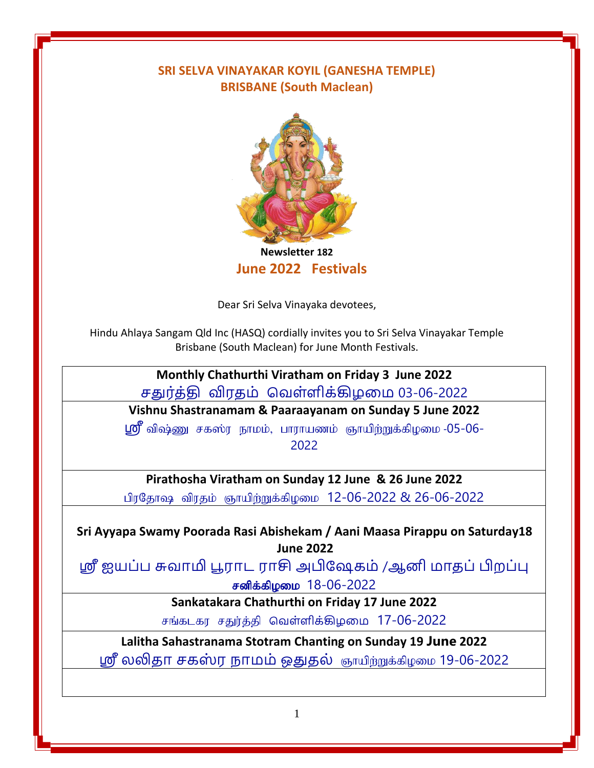## **SRI SELVA VINAYAKAR KOYIL (GANESHA TEMPLE) BRISBANE (South Maclean)**



**Newsletter 182 June 2022 Festivals**

Dear Sri Selva Vinayaka devotees,

Hindu Ahlaya Sangam Qld Inc (HASQ) cordially invites you to Sri Selva Vinayakar Temple Brisbane (South Maclean) for June Month Festivals.

# **[Monthly Chathurthi Viratham on Friday 3 June 2022](#page-1-0)** சதுர்த்தி விரதம் வெள்ளிக்கிழமம 03-06-2022

**Vishnu Shastranamam & Paaraayanam on Sunday 5 June 2022**

ஸ்ரீ விஷ்ணு சகஸ்ர நாமம், பாராயணம் ஞாயிற்றுக்கிழமை -05-06-2022

## **Pirathosha Viratham on Sunday 12 June & 26 June 2022**

பிரதோஷ விரதம் ஞாயிற்றுக்கிழமை 12-06-2022 & 26-06-2022

**Sri Ayyapa Swamy Poorada Rasi Abishekam / Aani Maasa Pirappu on Saturday18 June 2022**

ஸ்ரீ ஐயப்ப சுொமி பூராட ராசி அபிஷேகம் /ஆனி மாதப்பிறப்பு சனிக்கிழமை 18-06-2022

**Sankatakara Chathurthi on Friday 17 June 2022**

சங்கடகர சதுர்த்தி வெள்ளிக்கிழமை 17-06-2022

**Lalitha Sahastranama Stotram Chanting on Sunday 19 June 2022**

ஸ்ரீ லலிதா சகஸ்ர நாமம் ஒதுதல் ஞாயிற்றுக்கிழமை 19-06-2022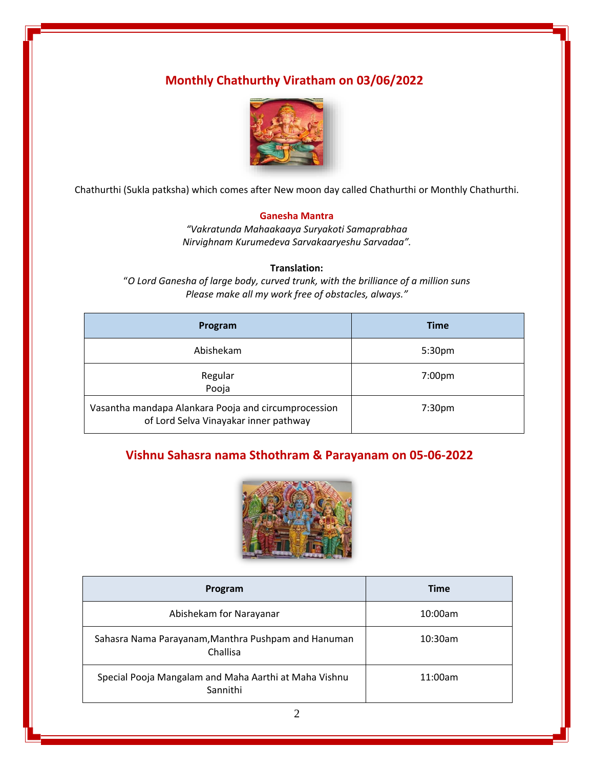## <span id="page-1-0"></span>**Monthly Chathurthy Viratham on 03/06/2022**



Chathurthi (Sukla patksha) which comes after New moon day called Chathurthi or Monthly Chathurthi.

#### **Ganesha Mantra**

*"Vakratunda Mahaakaaya Suryakoti Samaprabhaa Nirvighnam Kurumedeva Sarvakaaryeshu Sarvadaa".*

#### **Translation:**

"*O Lord Ganesha of large body, curved trunk, with the brilliance of a million suns Please make all my work free of obstacles, always."*

| Program                                                                                       | <b>Time</b>        |
|-----------------------------------------------------------------------------------------------|--------------------|
| Abishekam                                                                                     | 5:30pm             |
| Regular<br>Pooja                                                                              | 7:00 <sub>pm</sub> |
| Vasantha mandapa Alankara Pooja and circumprocession<br>of Lord Selva Vinayakar inner pathway | 7:30 <sub>pm</sub> |

### **Vishnu Sahasra nama Sthothram & Parayanam on 05-06-2022**



| Program                                                           | <b>Time</b> |
|-------------------------------------------------------------------|-------------|
| Abishekam for Narayanar                                           | 10:00am     |
| Sahasra Nama Parayanam, Manthra Pushpam and Hanuman<br>Challisa   | $10:30$ am  |
| Special Pooja Mangalam and Maha Aarthi at Maha Vishnu<br>Sannithi | 11:00am     |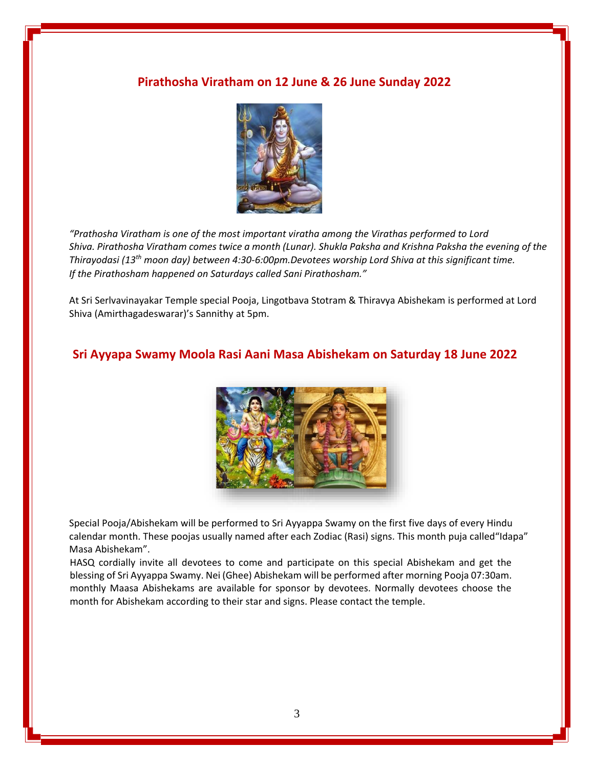#### **Pirathosha Viratham on 12 June & 26 June Sunday 2022**



*"Prathosha Viratham is one of the most important viratha among the Virathas performed to Lord Shiva. Pirathosha Viratham comes twice a month (Lunar). Shukla Paksha and Krishna Paksha the evening of the Thirayodasi (13th moon day) between 4:30-6:00pm.Devotees worship Lord Shiva at this significant time. If the Pirathosham happened on Saturdays called Sani Pirathosham."*

At Sri Serlvavinayakar Temple special Pooja, Lingotbava Stotram & Thiravya Abishekam is performed at Lord Shiva (Amirthagadeswarar)'s Sannithy at 5pm.

#### **Sri Ayyapa Swamy Moola Rasi Aani Masa Abishekam on Saturday 18 June 2022**



Special Pooja/Abishekam will be performed to Sri Ayyappa Swamy on the first five days of every Hindu calendar month. These poojas usually named after each Zodiac (Rasi) signs. This month puja called"Idapa" Masa Abishekam".

HASQ cordially invite all devotees to come and participate on this special Abishekam and get the blessing of Sri Ayyappa Swamy. Nei (Ghee) Abishekam will be performed after morning Pooja 07:30am. monthly Maasa Abishekams are available for sponsor by devotees. Normally devotees choose the month for Abishekam according to their star and signs. Please contact the temple.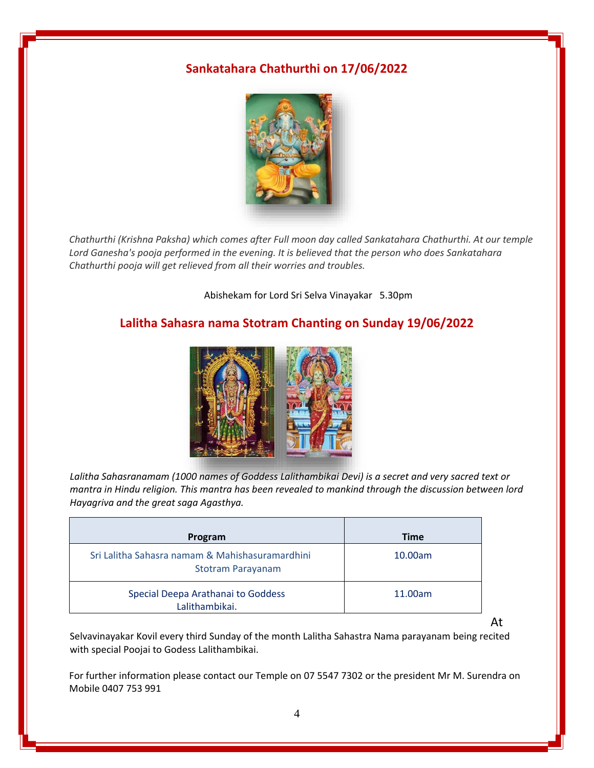### **Sankatahara Chathurthi on 17/06/2022**



*Chathurthi (Krishna Paksha) which comes after Full moon day called Sankatahara Chathurthi. At our temple Lord Ganesha's pooja performed in the evening. It is believed that the person who does Sankatahara Chathurthi pooja will get relieved from all their worries and troubles.*

Abishekam for Lord Sri Selva Vinayakar 5.30pm

### **Lalitha Sahasra nama Stotram Chanting on Sunday 19/06/2022**



*Lalitha Sahasranamam (1000 names of Goddess Lalithambikai Devi) is a secret and very sacred text or mantra in Hindu religion. This mantra has been revealed to mankind through the discussion between lord Hayagriva and the great saga Agasthya.*

| Program                                                                     | <b>Time</b> |
|-----------------------------------------------------------------------------|-------------|
| Sri Lalitha Sahasra namam & Mahishasuramardhini<br><b>Stotram Parayanam</b> | 10.00am     |
| Special Deepa Arathanai to Goddess<br>Lalithambikai.                        | 11.00am     |

At

Selvavinayakar Kovil every third Sunday of the month Lalitha Sahastra Nama parayanam being recited with special Poojai to Godess Lalithambikai.

For further information please contact our Temple on 07 5547 7302 or the president Mr M. Surendra on Mobile 0407 753 991